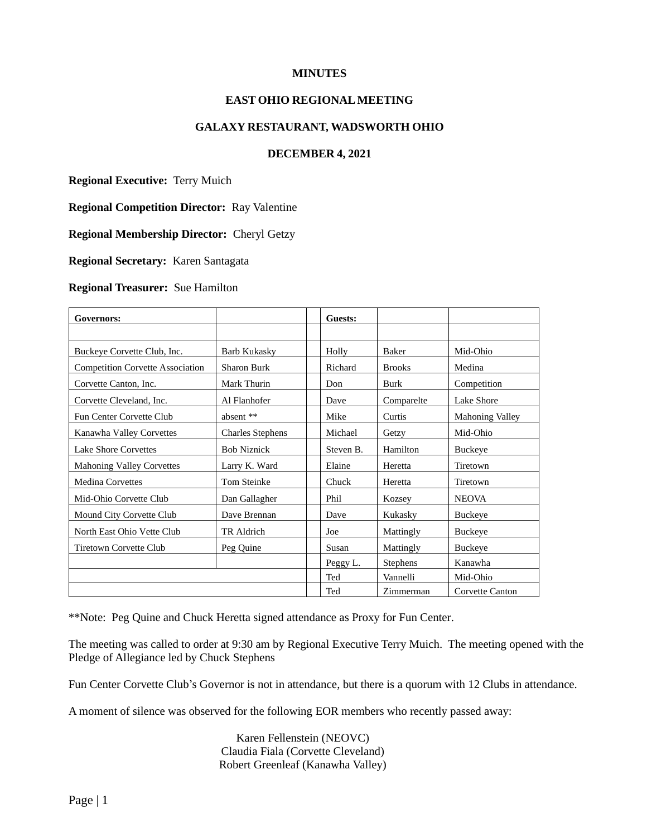## **MINUTES**

# **EAST OHIO REGIONALMEETING**

### **GALAXY RESTAURANT, WADSWORTH OHIO**

### **DECEMBER 4, 2021**

**Regional Executive:** Terry Muich

**Regional Competition Director:** Ray Valentine

**Regional Membership Director:** Cheryl Getzy

**Regional Secretary:** Karen Santagata

#### **Regional Treasurer:** Sue Hamilton

| Governors:                              |                         | Guests:   |               |                        |
|-----------------------------------------|-------------------------|-----------|---------------|------------------------|
|                                         |                         |           |               |                        |
| Buckeye Corvette Club, Inc.             | <b>Barb Kukasky</b>     |           | Baker         | Mid-Ohio               |
| <b>Competition Corvette Association</b> | Sharon Burk             |           | <b>Brooks</b> | Medina                 |
| Corvette Canton, Inc.                   | Mark Thurin             | Don       | Burk          | Competition            |
| Corvette Cleveland, Inc.                | Al Flanhofer            | Dave      | Comparelte    | Lake Shore             |
| Fun Center Corvette Club                | absent **               | Mike      | Curtis        | <b>Mahoning Valley</b> |
| Kanawha Valley Corvettes                | <b>Charles Stephens</b> | Michael   | Getzy         | Mid-Ohio               |
| <b>Lake Shore Corvettes</b>             | <b>Bob Niznick</b>      | Steven B. | Hamilton      | Buckeye                |
| <b>Mahoning Valley Corvettes</b>        | Larry K. Ward           | Elaine    | Heretta       | Tiretown               |
| <b>Medina Corvettes</b>                 | Tom Steinke             | Chuck     | Heretta       | Tiretown               |
| Mid-Ohio Corvette Club                  | Dan Gallagher           | Phil      | Kozsey        | <b>NEOVA</b>           |
| Mound City Corvette Club                | Dave Brennan            | Dave      | Kukasky       | <b>Buckeye</b>         |
| North East Ohio Vette Club              | TR Aldrich              | Joe       | Mattingly     | <b>Buckeye</b>         |
| <b>Tiretown Corvette Club</b>           | Peg Quine               | Susan     | Mattingly     | <b>Buckeye</b>         |
|                                         |                         | Peggy L.  | Stephens      | Kanawha                |
|                                         |                         | Ted       | Vannelli      | Mid-Ohio               |
|                                         |                         | Ted       | Zimmerman     | Corvette Canton        |

\*\*Note: Peg Quine and Chuck Heretta signed attendance as Proxy for Fun Center.

The meeting was called to order at 9:30 am by Regional Executive Terry Muich. The meeting opened with the Pledge of Allegiance led by Chuck Stephens

Fun Center Corvette Club's Governor is not in attendance, but there is a quorum with 12 Clubs in attendance.

A moment of silence was observed for the following EOR members who recently passed away:

Karen Fellenstein (NEOVC) Claudia Fiala (Corvette Cleveland) Robert Greenleaf (Kanawha Valley)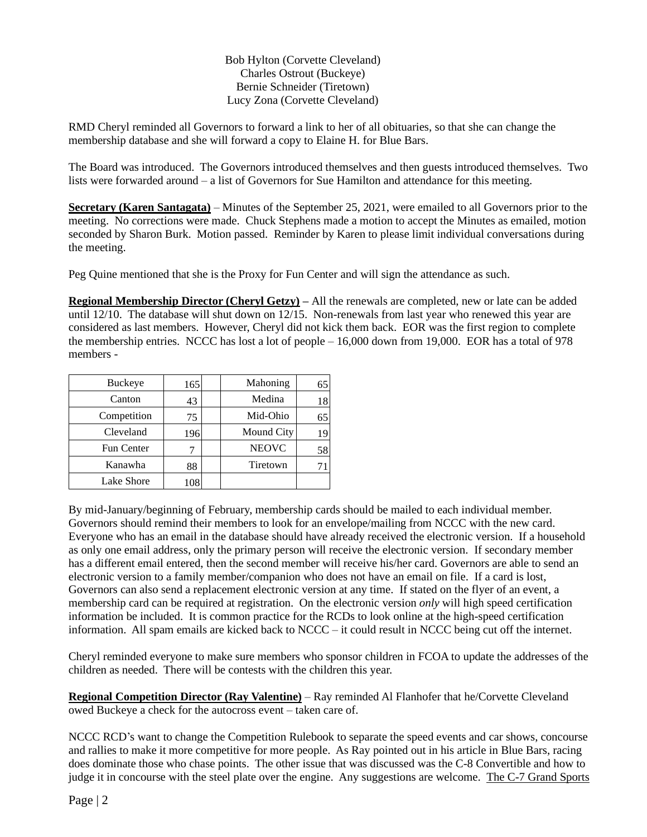## Bob Hylton (Corvette Cleveland) Charles Ostrout (Buckeye) Bernie Schneider (Tiretown) Lucy Zona (Corvette Cleveland)

RMD Cheryl reminded all Governors to forward a link to her of all obituaries, so that she can change the membership database and she will forward a copy to Elaine H. for Blue Bars.

The Board was introduced. The Governors introduced themselves and then guests introduced themselves. Two lists were forwarded around – a list of Governors for Sue Hamilton and attendance for this meeting.

**Secretary (Karen Santagata)** – Minutes of the September 25, 2021, were emailed to all Governors prior to the meeting. No corrections were made. Chuck Stephens made a motion to accept the Minutes as emailed, motion seconded by Sharon Burk. Motion passed. Reminder by Karen to please limit individual conversations during the meeting.

Peg Quine mentioned that she is the Proxy for Fun Center and will sign the attendance as such.

**Regional Membership Director (Cheryl Getzy) –** All the renewals are completed, new or late can be added until 12/10. The database will shut down on 12/15. Non-renewals from last year who renewed this year are considered as last members. However, Cheryl did not kick them back. EOR was the first region to complete the membership entries. NCCC has lost a lot of people – 16,000 down from 19,000.EOR has a total of 978 members -

| <b>Buckeye</b>    | 165 | Mahoning     | 65 |
|-------------------|-----|--------------|----|
| Canton            | 43  | Medina       | 18 |
| Competition       | 75  | Mid-Ohio     | 65 |
| Cleveland         | 196 | Mound City   | 19 |
| <b>Fun Center</b> |     | <b>NEOVC</b> | 58 |
| Kanawha           | 88  | Tiretown     |    |
| Lake Shore        |     |              |    |

By mid-January/beginning of February, membership cards should be mailed to each individual member. Governors should remind their members to look for an envelope/mailing from NCCC with the new card. Everyone who has an email in the database should have already received the electronic version. If a household as only one email address, only the primary person will receive the electronic version. If secondary member has a different email entered, then the second member will receive his/her card. Governors are able to send an electronic version to a family member/companion who does not have an email on file. If a card is lost, Governors can also send a replacement electronic version at any time. If stated on the flyer of an event, a membership card can be required at registration. On the electronic version *only* will high speed certification information be included. It is common practice for the RCDs to look online at the high-speed certification information. All spam emails are kicked back to NCCC – it could result in NCCC being cut off the internet.

Cheryl reminded everyone to make sure members who sponsor children in FCOA to update the addresses of the children as needed. There will be contests with the children this year.

**Regional Competition Director (Ray Valentine)** – Ray reminded Al Flanhofer that he/Corvette Cleveland owed Buckeye a check for the autocross event – taken care of.

NCCC RCD's want to change the Competition Rulebook to separate the speed events and car shows, concourse and rallies to make it more competitive for more people. As Ray pointed out in his article in Blue Bars, racing does dominate those who chase points. The other issue that was discussed was the C-8 Convertible and how to judge it in concourse with the steel plate over the engine. Any suggestions are welcome. The C-7 Grand Sports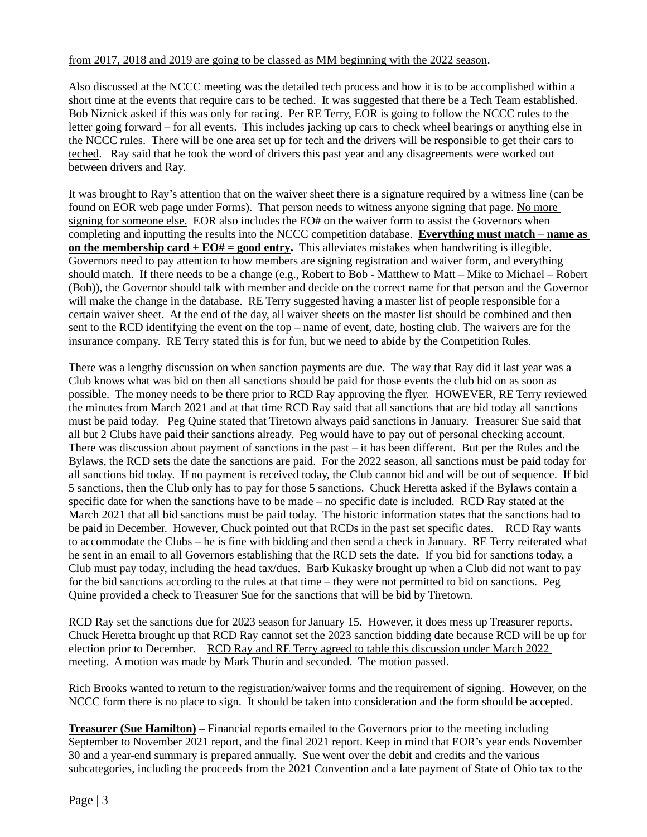### from 2017, 2018 and 2019 are going to be classed as MM beginning with the 2022 season.

Also discussed at the NCCC meeting was the detailed tech process and how it is to be accomplished within a short time at the events that require cars to be teched. It was suggested that there be a Tech Team established. Bob Niznick asked if this was only for racing. Per RE Terry, EOR is going to follow the NCCC rules to the letter going forward – for all events. This includes jacking up cars to check wheel bearings or anything else in the NCCC rules. There will be one area set up for tech and the drivers will be responsible to get their cars to teched. Ray said that he took the word of drivers this past year and any disagreements were worked out between drivers and Ray.

It was brought to Ray's attention that on the waiver sheet there is a signature required by a witness line (can be found on EOR web page under Forms). That person needs to witness anyone signing that page. No more signing for someone else. EOR also includes the EO# on the waiver form to assist the Governors when completing and inputting the results into the NCCC competition database. **Everything must match – name as on the membership card**  $+EO# =$  **good entry.** This alleviates mistakes when handwriting is illegible. Governors need to pay attention to how members are signing registration and waiver form, and everything should match. If there needs to be a change (e.g., Robert to Bob - Matthew to Matt – Mike to Michael – Robert (Bob)), the Governor should talk with member and decide on the correct name for that person and the Governor will make the change in the database. RE Terry suggested having a master list of people responsible for a certain waiver sheet. At the end of the day, all waiver sheets on the master list should be combined and then sent to the RCD identifying the event on the top – name of event, date, hosting club. The waivers are for the insurance company. RE Terry stated this is for fun, but we need to abide by the Competition Rules.

There was a lengthy discussion on when sanction payments are due. The way that Ray did it last year was a Club knows what was bid on then all sanctions should be paid for those events the club bid on as soon as possible. The money needs to be there prior to RCD Ray approving the flyer. HOWEVER, RE Terry reviewed the minutes from March 2021 and at that time RCD Ray said that all sanctions that are bid today all sanctions must be paid today. Peg Quine stated that Tiretown always paid sanctions in January. Treasurer Sue said that all but 2 Clubs have paid their sanctions already. Peg would have to pay out of personal checking account. There was discussion about payment of sanctions in the past – it has been different. But per the Rules and the Bylaws, the RCD sets the date the sanctions are paid. For the 2022 season, all sanctions must be paid today for all sanctions bid today. If no payment is received today, the Club cannot bid and will be out of sequence. If bid 5 sanctions, then the Club only has to pay for those 5 sanctions. Chuck Heretta asked if the Bylaws contain a specific date for when the sanctions have to be made – no specific date is included. RCD Ray stated at the March 2021 that all bid sanctions must be paid today. The historic information states that the sanctions had to be paid in December. However, Chuck pointed out that RCDs in the past set specific dates. RCD Ray wants to accommodate the Clubs – he is fine with bidding and then send a check in January. RE Terry reiterated what he sent in an email to all Governors establishing that the RCD sets the date. If you bid for sanctions today, a Club must pay today, including the head tax/dues. Barb Kukasky brought up when a Club did not want to pay for the bid sanctions according to the rules at that time – they were not permitted to bid on sanctions. Peg Quine provided a check to Treasurer Sue for the sanctions that will be bid by Tiretown.

RCD Ray set the sanctions due for 2023 season for January 15. However, it does mess up Treasurer reports. Chuck Heretta brought up that RCD Ray cannot set the 2023 sanction bidding date because RCD will be up for election prior to December. RCD Ray and RE Terry agreed to table this discussion under March 2022 meeting. A motion was made by Mark Thurin and seconded. The motion passed.

Rich Brooks wanted to return to the registration/waiver forms and the requirement of signing. However, on the NCCC form there is no place to sign. It should be taken into consideration and the form should be accepted.

**Treasurer (Sue Hamilton) –** Financial reports emailed to the Governors prior to the meeting including September to November 2021 report, and the final 2021 report. Keep in mind that EOR's year ends November 30 and a year-end summary is prepared annually. Sue went over the debit and credits and the various subcategories, including the proceeds from the 2021 Convention and a late payment of State of Ohio tax to the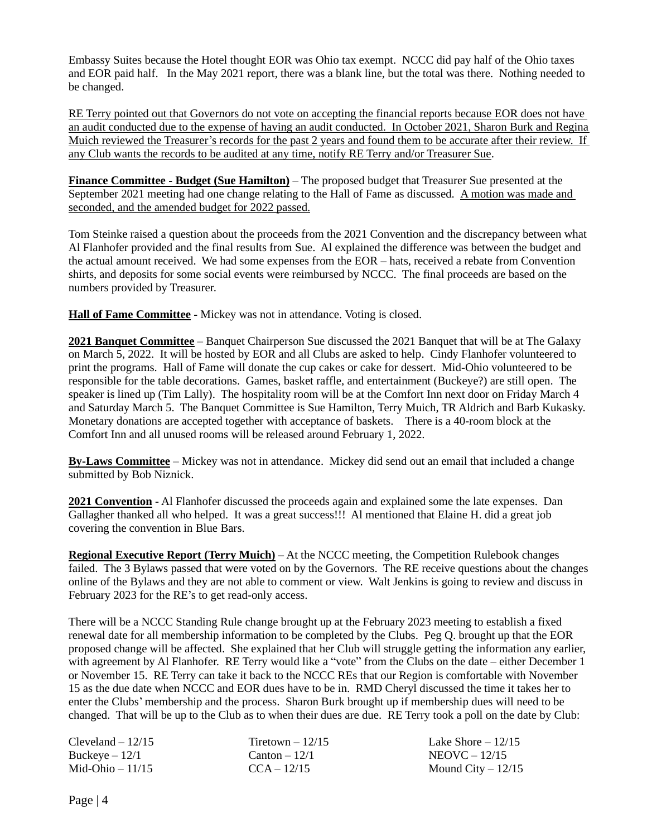Embassy Suites because the Hotel thought EOR was Ohio tax exempt. NCCC did pay half of the Ohio taxes and EOR paid half. In the May 2021 report, there was a blank line, but the total was there. Nothing needed to be changed.

RE Terry pointed out that Governors do not vote on accepting the financial reports because EOR does not have an audit conducted due to the expense of having an audit conducted. In October 2021, Sharon Burk and Regina Muich reviewed the Treasurer's records for the past 2 years and found them to be accurate after their review. If any Club wants the records to be audited at any time, notify RE Terry and/or Treasurer Sue.

**Finance Committee - Budget (Sue Hamilton)** – The proposed budget that Treasurer Sue presented at the September 2021 meeting had one change relating to the Hall of Fame as discussed. A motion was made and seconded, and the amended budget for 2022 passed.

Tom Steinke raised a question about the proceeds from the 2021 Convention and the discrepancy between what Al Flanhofer provided and the final results from Sue. Al explained the difference was between the budget and the actual amount received. We had some expenses from the EOR – hats, received a rebate from Convention shirts, and deposits for some social events were reimbursed by NCCC. The final proceeds are based on the numbers provided by Treasurer.

**Hall of Fame Committee -** Mickey was not in attendance. Voting is closed.

**2021 Banquet Committee** – Banquet Chairperson Sue discussed the 2021 Banquet that will be at The Galaxy on March 5, 2022. It will be hosted by EOR and all Clubs are asked to help. Cindy Flanhofer volunteered to print the programs. Hall of Fame will donate the cup cakes or cake for dessert. Mid-Ohio volunteered to be responsible for the table decorations. Games, basket raffle, and entertainment (Buckeye?) are still open. The speaker is lined up (Tim Lally). The hospitality room will be at the Comfort Inn next door on Friday March 4 and Saturday March 5. The Banquet Committee is Sue Hamilton, Terry Muich, TR Aldrich and Barb Kukasky. Monetary donations are accepted together with acceptance of baskets. There is a 40-room block at the Comfort Inn and all unused rooms will be released around February 1, 2022.

**By-Laws Committee** – Mickey was not in attendance. Mickey did send out an email that included a change submitted by Bob Niznick.

**2021 Convention** - Al Flanhofer discussed the proceeds again and explained some the late expenses. Dan Gallagher thanked all who helped. It was a great success!!! Al mentioned that Elaine H. did a great job covering the convention in Blue Bars.

**Regional Executive Report (Terry Muich)** – At the NCCC meeting, the Competition Rulebook changes failed. The 3 Bylaws passed that were voted on by the Governors. The RE receive questions about the changes online of the Bylaws and they are not able to comment or view. Walt Jenkins is going to review and discuss in February 2023 for the RE's to get read-only access.

There will be a NCCC Standing Rule change brought up at the February 2023 meeting to establish a fixed renewal date for all membership information to be completed by the Clubs. Peg Q. brought up that the EOR proposed change will be affected. She explained that her Club will struggle getting the information any earlier, with agreement by Al Flanhofer. RE Terry would like a "vote" from the Clubs on the date – either December 1 or November 15. RE Terry can take it back to the NCCC REs that our Region is comfortable with November 15 as the due date when NCCC and EOR dues have to be in. RMD Cheryl discussed the time it takes her to enter the Clubs' membership and the process. Sharon Burk brought up if membership dues will need to be changed. That will be up to the Club as to when their dues are due. RE Terry took a poll on the date by Club:

| $C$ leveland $-12/15$ | Tiretown $-12/15$ | Lake Shore $-12/15$ |
|-----------------------|-------------------|---------------------|
| Buckeye – 12/1        | $Canton - 12/1$   | $NEOVC - 12/15$     |
| Mid-Ohio – 11/15      | $CCA - 12/15$     | Mound City $-12/15$ |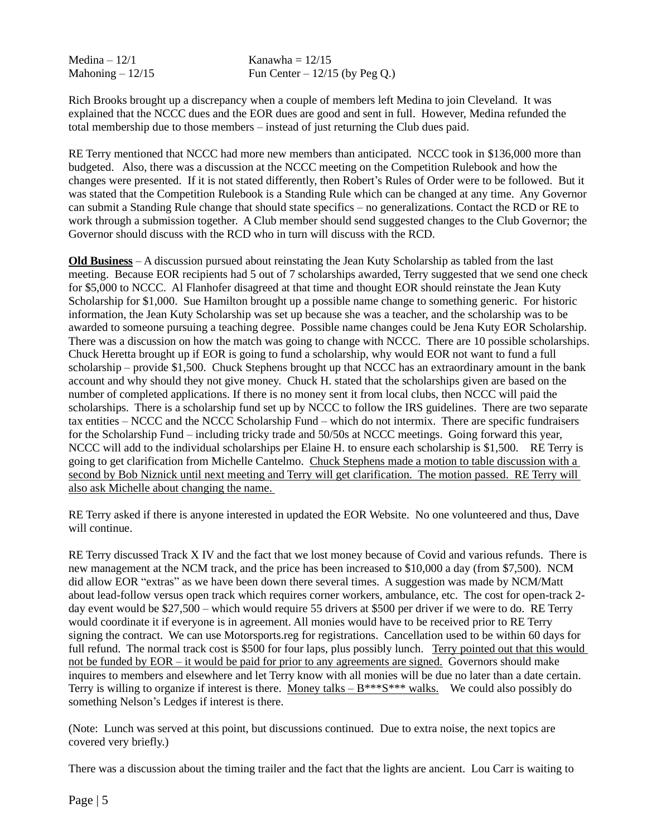Medina  $-12/1$ Mahoning  $-12/15$  Kanawha  $= 12/15$ Fun Center  $-12/15$  (by Peg Q.)

Rich Brooks brought up a discrepancy when a couple of members left Medina to join Cleveland. It was explained that the NCCC dues and the EOR dues are good and sent in full. However, Medina refunded the total membership due to those members – instead of just returning the Club dues paid.

RE Terry mentioned that NCCC had more new members than anticipated. NCCC took in \$136,000 more than budgeted. Also, there was a discussion at the NCCC meeting on the Competition Rulebook and how the changes were presented. If it is not stated differently, then Robert's Rules of Order were to be followed. But it was stated that the Competition Rulebook is a Standing Rule which can be changed at any time. Any Governor can submit a Standing Rule change that should state specifics – no generalizations. Contact the RCD or RE to work through a submission together. A Club member should send suggested changes to the Club Governor; the Governor should discuss with the RCD who in turn will discuss with the RCD.

**Old Business** – A discussion pursued about reinstating the Jean Kuty Scholarship as tabled from the last meeting. Because EOR recipients had 5 out of 7 scholarships awarded, Terry suggested that we send one check for \$5,000 to NCCC. Al Flanhofer disagreed at that time and thought EOR should reinstate the Jean Kuty Scholarship for \$1,000. Sue Hamilton brought up a possible name change to something generic. For historic information, the Jean Kuty Scholarship was set up because she was a teacher, and the scholarship was to be awarded to someone pursuing a teaching degree. Possible name changes could be Jena Kuty EOR Scholarship. There was a discussion on how the match was going to change with NCCC. There are 10 possible scholarships. Chuck Heretta brought up if EOR is going to fund a scholarship, why would EOR not want to fund a full scholarship – provide \$1,500. Chuck Stephens brought up that NCCC has an extraordinary amount in the bank account and why should they not give money. Chuck H. stated that the scholarships given are based on the number of completed applications. If there is no money sent it from local clubs, then NCCC will paid the scholarships. There is a scholarship fund set up by NCCC to follow the IRS guidelines. There are two separate tax entities – NCCC and the NCCC Scholarship Fund – which do not intermix. There are specific fundraisers for the Scholarship Fund – including tricky trade and 50/50s at NCCC meetings. Going forward this year, NCCC will add to the individual scholarships per Elaine H. to ensure each scholarship is \$1,500. RE Terry is going to get clarification from Michelle Cantelmo. Chuck Stephens made a motion to table discussion with a second by Bob Niznick until next meeting and Terry will get clarification. The motion passed. RE Terry will also ask Michelle about changing the name.

RE Terry asked if there is anyone interested in updated the EOR Website. No one volunteered and thus, Dave will continue.

RE Terry discussed Track X IV and the fact that we lost money because of Covid and various refunds. There is new management at the NCM track, and the price has been increased to \$10,000 a day (from \$7,500). NCM did allow EOR "extras" as we have been down there several times. A suggestion was made by NCM/Matt about lead-follow versus open track which requires corner workers, ambulance, etc. The cost for open-track 2 day event would be \$27,500 – which would require 55 drivers at \$500 per driver if we were to do. RE Terry would coordinate it if everyone is in agreement. All monies would have to be received prior to RE Terry signing the contract. We can use Motorsports.reg for registrations. Cancellation used to be within 60 days for full refund. The normal track cost is \$500 for four laps, plus possibly lunch. Terry pointed out that this would not be funded by EOR – it would be paid for prior to any agreements are signed. Governors should make inquires to members and elsewhere and let Terry know with all monies will be due no later than a date certain. Terry is willing to organize if interest is there. Money talks  $-B***$  walks. We could also possibly do something Nelson's Ledges if interest is there.

(Note: Lunch was served at this point, but discussions continued. Due to extra noise, the next topics are covered very briefly.)

There was a discussion about the timing trailer and the fact that the lights are ancient. Lou Carr is waiting to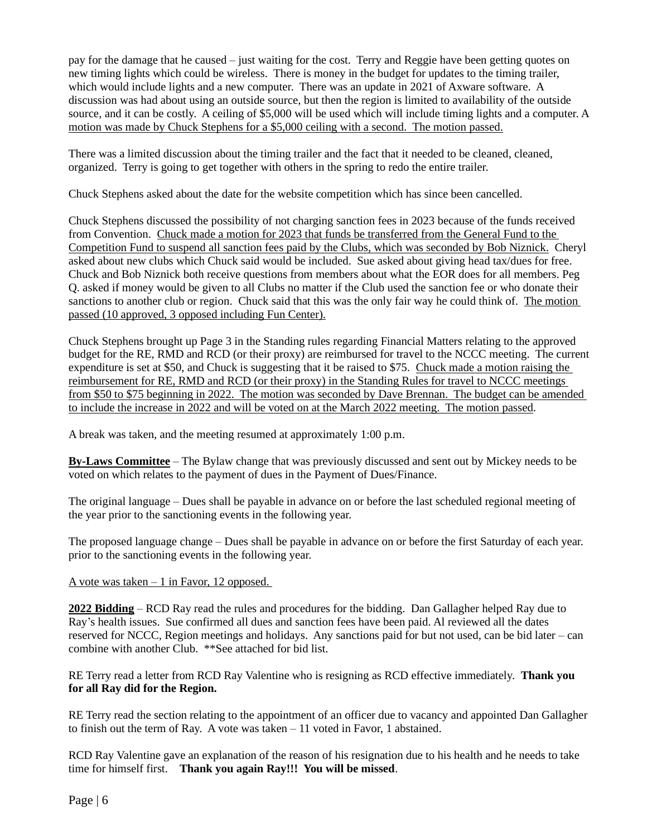pay for the damage that he caused – just waiting for the cost. Terry and Reggie have been getting quotes on new timing lights which could be wireless. There is money in the budget for updates to the timing trailer, which would include lights and a new computer. There was an update in 2021 of Axware software. A discussion was had about using an outside source, but then the region is limited to availability of the outside source, and it can be costly. A ceiling of \$5,000 will be used which will include timing lights and a computer. A motion was made by Chuck Stephens for a \$5,000 ceiling with a second. The motion passed.

There was a limited discussion about the timing trailer and the fact that it needed to be cleaned, cleaned, organized. Terry is going to get together with others in the spring to redo the entire trailer.

Chuck Stephens asked about the date for the website competition which has since been cancelled.

Chuck Stephens discussed the possibility of not charging sanction fees in 2023 because of the funds received from Convention. Chuck made a motion for 2023 that funds be transferred from the General Fund to the Competition Fund to suspend all sanction fees paid by the Clubs, which was seconded by Bob Niznick. Cheryl asked about new clubs which Chuck said would be included. Sue asked about giving head tax/dues for free. Chuck and Bob Niznick both receive questions from members about what the EOR does for all members. Peg Q. asked if money would be given to all Clubs no matter if the Club used the sanction fee or who donate their sanctions to another club or region. Chuck said that this was the only fair way he could think of. The motion passed (10 approved, 3 opposed including Fun Center).

Chuck Stephens brought up Page 3 in the Standing rules regarding Financial Matters relating to the approved budget for the RE, RMD and RCD (or their proxy) are reimbursed for travel to the NCCC meeting. The current expenditure is set at \$50, and Chuck is suggesting that it be raised to \$75. Chuck made a motion raising the reimbursement for RE, RMD and RCD (or their proxy) in the Standing Rules for travel to NCCC meetings from \$50 to \$75 beginning in 2022. The motion was seconded by Dave Brennan. The budget can be amended to include the increase in 2022 and will be voted on at the March 2022 meeting. The motion passed.

A break was taken, and the meeting resumed at approximately 1:00 p.m.

**By-Laws Committee** – The Bylaw change that was previously discussed and sent out by Mickey needs to be voted on which relates to the payment of dues in the Payment of Dues/Finance.

The original language – Dues shall be payable in advance on or before the last scheduled regional meeting of the year prior to the sanctioning events in the following year.

The proposed language change – Dues shall be payable in advance on or before the first Saturday of each year. prior to the sanctioning events in the following year.

### A vote was taken – 1 in Favor, 12 opposed.

**2022 Bidding** – RCD Ray read the rules and procedures for the bidding. Dan Gallagher helped Ray due to Ray's health issues. Sue confirmed all dues and sanction fees have been paid. Al reviewed all the dates reserved for NCCC, Region meetings and holidays. Any sanctions paid for but not used, can be bid later – can combine with another Club. \*\*See attached for bid list.

RE Terry read a letter from RCD Ray Valentine who is resigning as RCD effective immediately. **Thank you for all Ray did for the Region.** 

RE Terry read the section relating to the appointment of an officer due to vacancy and appointed Dan Gallagher to finish out the term of Ray. A vote was taken – 11 voted in Favor, 1 abstained.

RCD Ray Valentine gave an explanation of the reason of his resignation due to his health and he needs to take time for himself first. **Thank you again Ray!!! You will be missed**.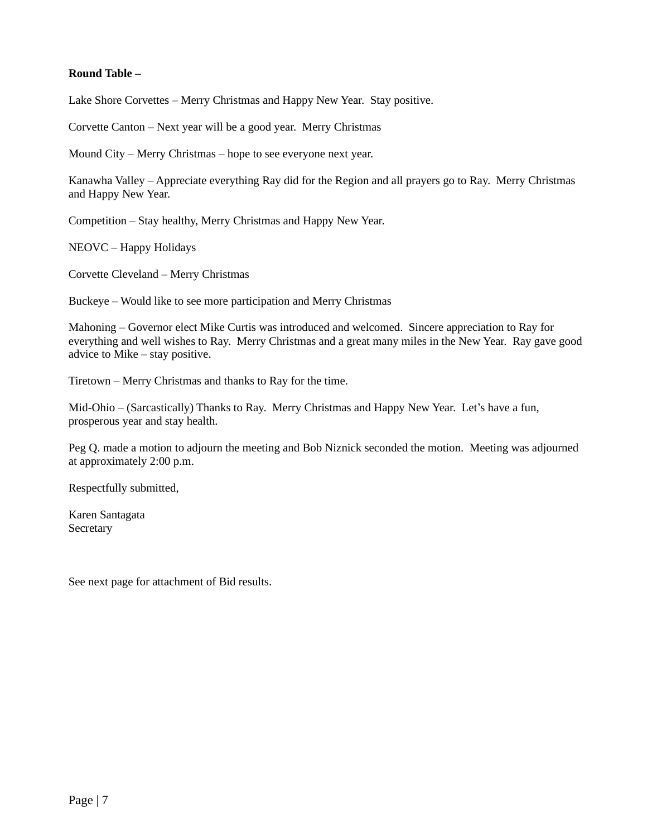# **Round Table –**

Lake Shore Corvettes – Merry Christmas and Happy New Year. Stay positive.

Corvette Canton – Next year will be a good year. Merry Christmas

Mound City – Merry Christmas – hope to see everyone next year.

Kanawha Valley – Appreciate everything Ray did for the Region and all prayers go to Ray. Merry Christmas and Happy New Year.

Competition – Stay healthy, Merry Christmas and Happy New Year.

NEOVC – Happy Holidays

Corvette Cleveland – Merry Christmas

Buckeye – Would like to see more participation and Merry Christmas

Mahoning – Governor elect Mike Curtis was introduced and welcomed. Sincere appreciation to Ray for everything and well wishes to Ray. Merry Christmas and a great many miles in the New Year. Ray gave good advice to Mike – stay positive.

Tiretown – Merry Christmas and thanks to Ray for the time.

Mid-Ohio – (Sarcastically) Thanks to Ray. Merry Christmas and Happy New Year. Let's have a fun, prosperous year and stay health.

Peg Q. made a motion to adjourn the meeting and Bob Niznick seconded the motion. Meeting was adjourned at approximately 2:00 p.m.

Respectfully submitted,

Karen Santagata Secretary

See next page for attachment of Bid results.